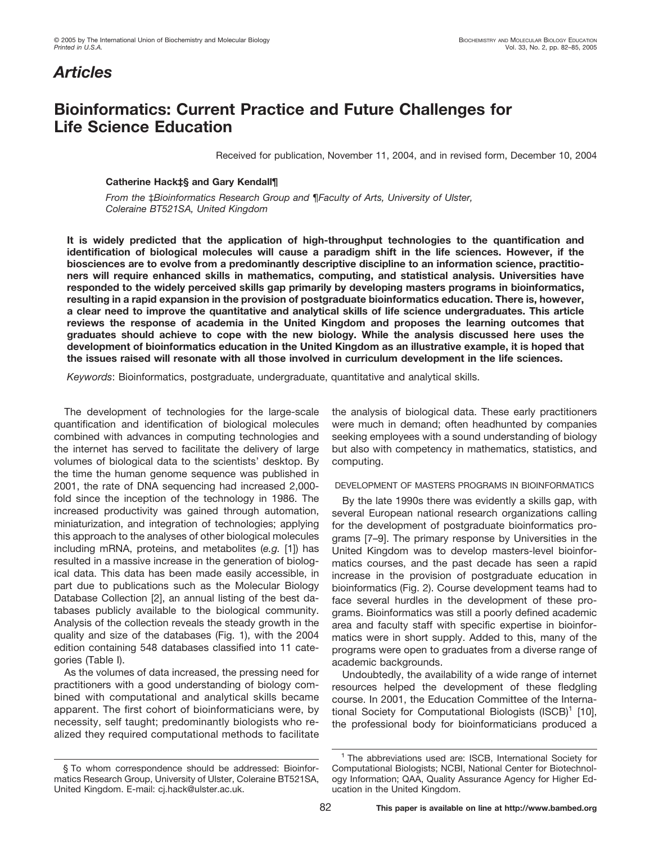# *Articles*

## **Bioinformatics: Current Practice and Future Challenges for Life Science Education**

Received for publication, November 11, 2004, and in revised form, December 10, 2004

## **Catherine Hack‡§ and Gary Kendall¶**

*From the* ‡*Bioinformatics Research Group and* ¶*Faculty of Arts, University of Ulster, Coleraine BT521SA, United Kingdom*

**It is widely predicted that the application of high-throughput technologies to the quantification and identification of biological molecules will cause a paradigm shift in the life sciences. However, if the biosciences are to evolve from a predominantly descriptive discipline to an information science, practitioners will require enhanced skills in mathematics, computing, and statistical analysis. Universities have responded to the widely perceived skills gap primarily by developing masters programs in bioinformatics, resulting in a rapid expansion in the provision of postgraduate bioinformatics education. There is, however, a clear need to improve the quantitative and analytical skills of life science undergraduates. This article reviews the response of academia in the United Kingdom and proposes the learning outcomes that graduates should achieve to cope with the new biology. While the analysis discussed here uses the development of bioinformatics education in the United Kingdom as an illustrative example, it is hoped that the issues raised will resonate with all those involved in curriculum development in the life sciences.**

*Keywords*: Bioinformatics, postgraduate, undergraduate, quantitative and analytical skills.

The development of technologies for the large-scale quantification and identification of biological molecules combined with advances in computing technologies and the internet has served to facilitate the delivery of large volumes of biological data to the scientists' desktop. By the time the human genome sequence was published in 2001, the rate of DNA sequencing had increased 2,000 fold since the inception of the technology in 1986. The increased productivity was gained through automation, miniaturization, and integration of technologies; applying this approach to the analyses of other biological molecules including mRNA, proteins, and metabolites (*e.g.* [1]) has resulted in a massive increase in the generation of biological data. This data has been made easily accessible, in part due to publications such as the Molecular Biology Database Collection [2], an annual listing of the best databases publicly available to the biological community. Analysis of the collection reveals the steady growth in the quality and size of the databases (Fig. 1), with the 2004 edition containing 548 databases classified into 11 categories (Table I).

As the volumes of data increased, the pressing need for practitioners with a good understanding of biology combined with computational and analytical skills became apparent. The first cohort of bioinformaticians were, by necessity, self taught; predominantly biologists who realized they required computational methods to facilitate

§ To whom correspondence should be addressed: Bioinformatics Research Group, University of Ulster, Coleraine BT521SA, United Kingdom. E-mail: cj.hack@ulster.ac.uk.

the analysis of biological data. These early practitioners were much in demand; often headhunted by companies seeking employees with a sound understanding of biology but also with competency in mathematics, statistics, and computing.

### DEVELOPMENT OF MASTERS PROGRAMS IN BIOINFORMATICS

By the late 1990s there was evidently a skills gap, with several European national research organizations calling for the development of postgraduate bioinformatics programs [7–9]. The primary response by Universities in the United Kingdom was to develop masters-level bioinformatics courses, and the past decade has seen a rapid increase in the provision of postgraduate education in bioinformatics (Fig. 2). Course development teams had to face several hurdles in the development of these programs. Bioinformatics was still a poorly defined academic area and faculty staff with specific expertise in bioinformatics were in short supply. Added to this, many of the programs were open to graduates from a diverse range of academic backgrounds.

Undoubtedly, the availability of a wide range of internet resources helped the development of these fledgling course. In 2001, the Education Committee of the International Society for Computational Biologists  $(ISCB)^1$  [10], the professional body for bioinformaticians produced a

<sup>&</sup>lt;sup>1</sup> The abbreviations used are: ISCB, International Society for Computational Biologists; NCBI, National Center for Biotechnology Information; QAA, Quality Assurance Agency for Higher Education in the United Kingdom.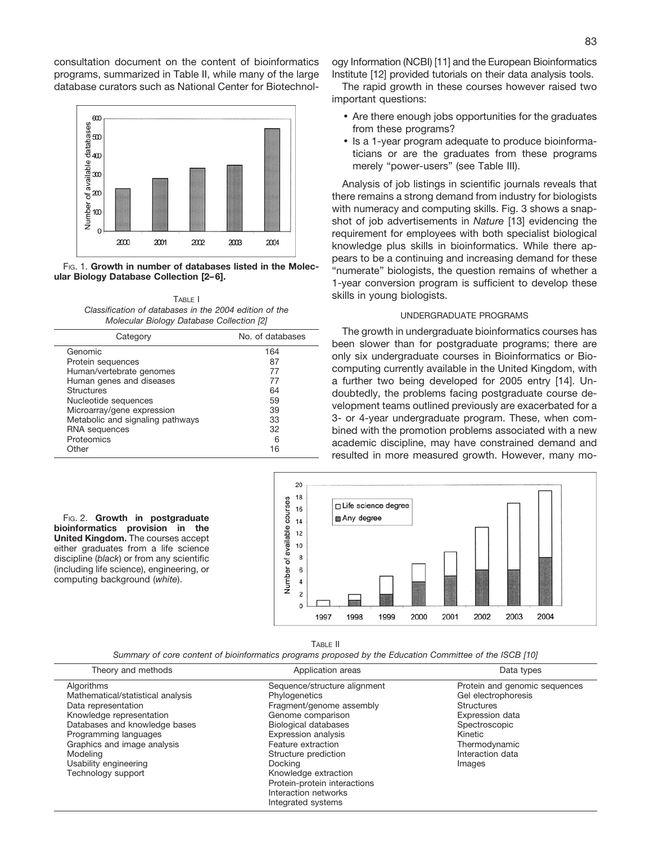consultation document on the content of bioinformatics programs, summarized in Table II, while many of the large database curators such as National Center for Biotechnol-



FIG. 1. **Growth in number of databases listed in the Molecular Biology Database Collection [2– 6].**

TABLE I *Classification of databases in the 2004 edition of the Molecular Biology Database Collection [2]*

| Category                         | No. of databases |
|----------------------------------|------------------|
| Genomic                          | 164              |
| Protein sequences                | 87               |
| Human/vertebrate genomes         | 77               |
| Human genes and diseases         | 77               |
| <b>Structures</b>                | 64               |
| Nucleotide sequences             | 59               |
| Microarray/gene expression       | 39               |
| Metabolic and signaling pathways | 33               |
| <b>RNA</b> sequences             | 32               |
| Proteomics                       | 6                |
| Other                            | 16               |

FIG. 2. **Growth in postgraduate bioinformatics provision in the United Kingdom.** The courses accept either graduates from a life science discipline (*black*) or from any scientific (including life science), engineering, or computing background (*white*).

ogy Information (NCBI) [11] and the European Bioinformatics Institute [12] provided tutorials on their data analysis tools.

The rapid growth in these courses however raised two important questions:

- Are there enough jobs opportunities for the graduates from these programs?
- Is a 1-year program adequate to produce bioinformaticians or are the graduates from these programs merely "power-users" (see Table III).

Analysis of job listings in scientific journals reveals that there remains a strong demand from industry for biologists with numeracy and computing skills. Fig. 3 shows a snapshot of job advertisements in *Nature* [13] evidencing the requirement for employees with both specialist biological knowledge plus skills in bioinformatics. While there appears to be a continuing and increasing demand for these "numerate" biologists, the question remains of whether a 1-year conversion program is sufficient to develop these skills in young biologists.

### UNDERGRADUATE PROGRAMS

The growth in undergraduate bioinformatics courses has been slower than for postgraduate programs; there are only six undergraduate courses in Bioinformatics or Biocomputing currently available in the United Kingdom, with a further two being developed for 2005 entry [14]. Undoubtedly, the problems facing postgraduate course development teams outlined previously are exacerbated for a 3- or 4-year undergraduate program. These, when combined with the promotion problems associated with a new academic discipline, may have constrained demand and resulted in more measured growth. However, many mo-



TABLE II

*Summary of core content of bioinformatics programs proposed by the Education Committee of the ISCB [10]*

| Theory and methods                                                                                                                                                                                                                                     | Application areas                                                                                                                                                                                                                                                                                                          | Data types                                                                                                                                                                     |
|--------------------------------------------------------------------------------------------------------------------------------------------------------------------------------------------------------------------------------------------------------|----------------------------------------------------------------------------------------------------------------------------------------------------------------------------------------------------------------------------------------------------------------------------------------------------------------------------|--------------------------------------------------------------------------------------------------------------------------------------------------------------------------------|
| Algorithms<br>Mathematical/statistical analysis<br>Data representation<br>Knowledge representation<br>Databases and knowledge bases<br>Programming languages<br>Graphics and image analysis<br>Modeling<br>Usability engineering<br>Technology support | Sequence/structure alignment<br>Phylogenetics<br>Fragment/genome assembly<br>Genome comparison<br><b>Biological databases</b><br><b>Expression analysis</b><br>Feature extraction<br>Structure prediction<br>Docking<br>Knowledge extraction<br>Protein-protein interactions<br>Interaction networks<br>Integrated systems | Protein and genomic sequences<br>Gel electrophoresis<br><b>Structures</b><br><b>Expression data</b><br>Spectroscopic<br>Kinetic<br>Thermodynamic<br>Interaction data<br>Images |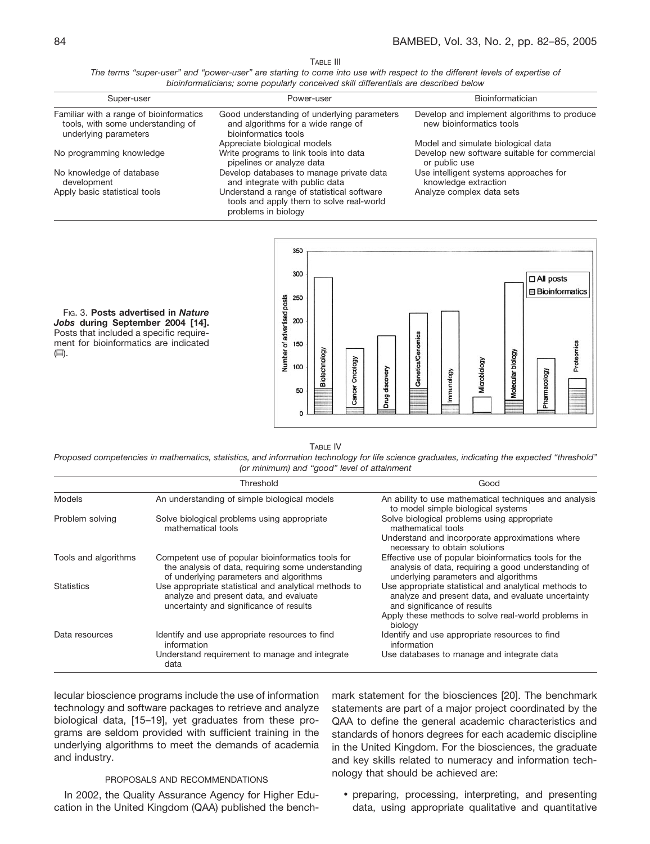TABLE III

*The terms "super-user" and "power-user" are starting to come into use with respect to the different levels of expertise of bioinformaticians; some popularly conceived skill differentials are described below*

| Super-user                                                                                            | Power-user                                                                                                    | Bioinformatician                                                        |
|-------------------------------------------------------------------------------------------------------|---------------------------------------------------------------------------------------------------------------|-------------------------------------------------------------------------|
| Familiar with a range of bioinformatics<br>tools, with some understanding of<br>underlying parameters | Good understanding of underlying parameters<br>and algorithms for a wide range of<br>bioinformatics tools     | Develop and implement algorithms to produce<br>new bioinformatics tools |
|                                                                                                       | Appreciate biological models                                                                                  | Model and simulate biological data                                      |
| No programming knowledge                                                                              | Write programs to link tools into data<br>pipelines or analyze data                                           | Develop new software suitable for commercial<br>or public use           |
| No knowledge of database<br>development                                                               | Develop databases to manage private data<br>and integrate with public data                                    | Use intelligent systems approaches for<br>knowledge extraction          |
| Apply basic statistical tools                                                                         | Understand a range of statistical software<br>tools and apply them to solve real-world<br>problems in biology | Analyze complex data sets                                               |



FIG. 3. **Posts advertised in** *Nature Jobs* **during September 2004 [14].** Posts that included a specific requirement for bioinformatics are indicated (目).

#### TABLE IV

*Proposed competencies in mathematics, statistics, and information technology for life science graduates, indicating the expected "threshold" (or minimum) and "good" level of attainment*

|                      | Threshold                                                                                                                                          | Good                                                                                                                                                 |
|----------------------|----------------------------------------------------------------------------------------------------------------------------------------------------|------------------------------------------------------------------------------------------------------------------------------------------------------|
| Models               | An understanding of simple biological models                                                                                                       | An ability to use mathematical techniques and analysis<br>to model simple biological systems                                                         |
| Problem solving      | Solve biological problems using appropriate<br>mathematical tools                                                                                  | Solve biological problems using appropriate<br>mathematical tools                                                                                    |
|                      |                                                                                                                                                    | Understand and incorporate approximations where<br>necessary to obtain solutions                                                                     |
| Tools and algorithms | Competent use of popular bioinformatics tools for<br>the analysis of data, requiring some understanding<br>of underlying parameters and algorithms | Effective use of popular bioinformatics tools for the<br>analysis of data, requiring a good understanding of<br>underlying parameters and algorithms |
| <b>Statistics</b>    | Use appropriate statistical and analytical methods to<br>analyze and present data, and evaluate<br>uncertainty and significance of results         | Use appropriate statistical and analytical methods to<br>analyze and present data, and evaluate uncertainty<br>and significance of results           |
|                      |                                                                                                                                                    | Apply these methods to solve real-world problems in<br>biology                                                                                       |
| Data resources       | Identify and use appropriate resources to find<br>information                                                                                      | Identify and use appropriate resources to find<br>information                                                                                        |
|                      | Understand requirement to manage and integrate<br>data                                                                                             | Use databases to manage and integrate data                                                                                                           |

lecular bioscience programs include the use of information technology and software packages to retrieve and analyze biological data, [15–19], yet graduates from these programs are seldom provided with sufficient training in the underlying algorithms to meet the demands of academia and industry.

#### PROPOSALS AND RECOMMENDATIONS

In 2002, the Quality Assurance Agency for Higher Education in the United Kingdom (QAA) published the benchmark statement for the biosciences [20]. The benchmark statements are part of a major project coordinated by the QAA to define the general academic characteristics and standards of honors degrees for each academic discipline in the United Kingdom. For the biosciences, the graduate and key skills related to numeracy and information technology that should be achieved are:

• preparing, processing, interpreting, and presenting data, using appropriate qualitative and quantitative